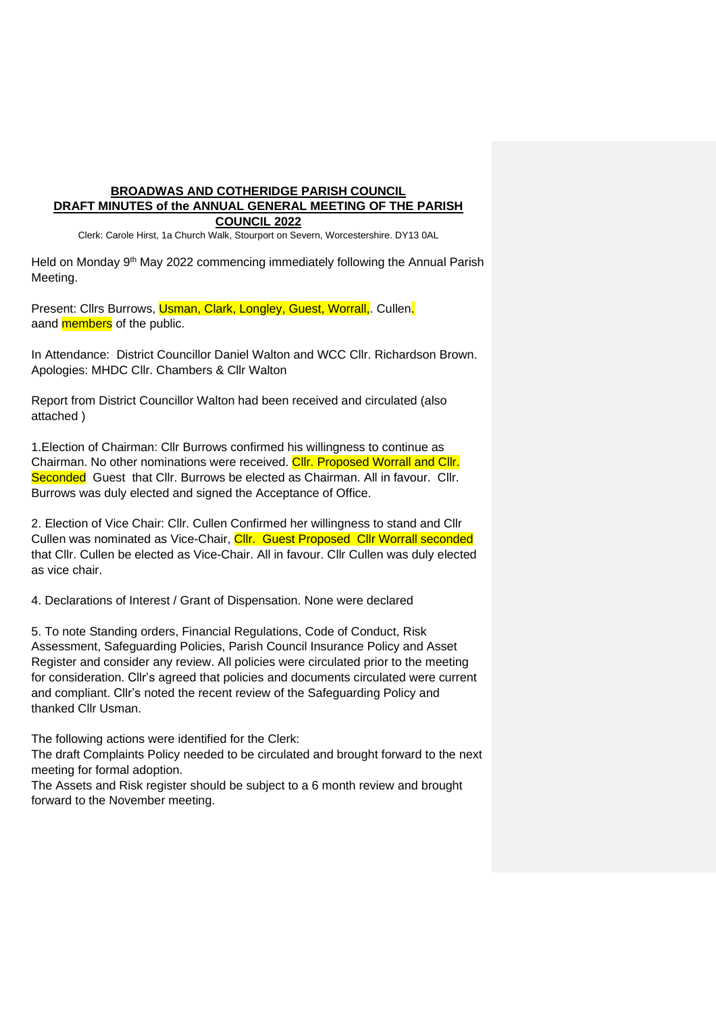# **BROADWAS AND COTHERIDGE PARISH COUNCIL DRAFT MINUTES of the ANNUAL GENERAL MEETING OF THE PARISH COUNCIL 2022**

Clerk: Carole Hirst, 1a Church Walk, Stourport on Severn, Worcestershire. DY13 0AL

Held on Monday 9<sup>th</sup> May 2022 commencing immediately following the Annual Parish Meeting.

Present: Clirs Burrows, Usman, Clark, Longley, Guest, Worrall, Cullen. aand **members** of the public.

In Attendance: District Councillor Daniel Walton and WCC Cllr. Richardson Brown. Apologies: MHDC Cllr. Chambers & Cllr Walton

Report from District Councillor Walton had been received and circulated (also attached )

1.Election of Chairman: Cllr Burrows confirmed his willingness to continue as Chairman. No other nominations were received. Cllr. Proposed Worrall and Cllr. Seconded Guest that Cllr. Burrows be elected as Chairman. All in favour. Cllr. Burrows was duly elected and signed the Acceptance of Office.

2. Election of Vice Chair: Cllr. Cullen Confirmed her willingness to stand and Cllr Cullen was nominated as Vice-Chair, Cllr. Guest Proposed Cllr Worrall seconded that Cllr. Cullen be elected as Vice-Chair. All in favour. Cllr Cullen was duly elected as vice chair.

4. Declarations of Interest / Grant of Dispensation. None were declared

5. To note Standing orders, Financial Regulations, Code of Conduct, Risk Assessment, Safeguarding Policies, Parish Council Insurance Policy and Asset Register and consider any review. All policies were circulated prior to the meeting for consideration. Cllr's agreed that policies and documents circulated were current and compliant. Cllr's noted the recent review of the Safeguarding Policy and thanked Cllr Usman.

The following actions were identified for the Clerk:

The draft Complaints Policy needed to be circulated and brought forward to the next meeting for formal adoption.

The Assets and Risk register should be subject to a 6 month review and brought forward to the November meeting.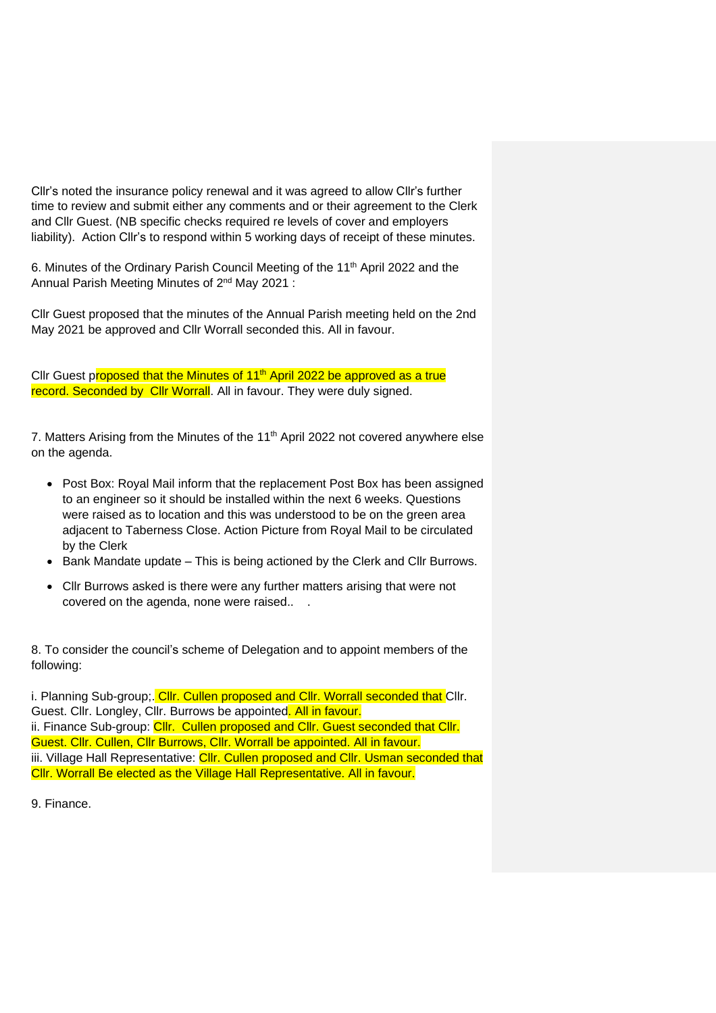Cllr's noted the insurance policy renewal and it was agreed to allow Cllr's further time to review and submit either any comments and or their agreement to the Clerk and Cllr Guest. (NB specific checks required re levels of cover and employers liability). Action Cllr's to respond within 5 working days of receipt of these minutes.

6. Minutes of the Ordinary Parish Council Meeting of the 11<sup>th</sup> April 2022 and the Annual Parish Meeting Minutes of 2<sup>nd</sup> May 2021 :

Cllr Guest proposed that the minutes of the Annual Parish meeting held on the 2nd May 2021 be approved and Cllr Worrall seconded this. All in favour.

Cllr Guest proposed that the Minutes of  $11<sup>th</sup>$  April 2022 be approved as a true record. Seconded by Cllr Worrall. All in favour. They were duly signed.

7. Matters Arising from the Minutes of the 11<sup>th</sup> April 2022 not covered anywhere else on the agenda.

- Post Box: Royal Mail inform that the replacement Post Box has been assigned to an engineer so it should be installed within the next 6 weeks. Questions were raised as to location and this was understood to be on the green area adjacent to Taberness Close. Action Picture from Royal Mail to be circulated by the Clerk
- Bank Mandate update This is being actioned by the Clerk and Cllr Burrows.
- Cllr Burrows asked is there were any further matters arising that were not covered on the agenda, none were raised.. .

8. To consider the council's scheme of Delegation and to appoint members of the following:

i. Planning Sub-group;. Cllr. Cullen proposed and Cllr. Worrall seconded that Cllr. Guest. Cllr. Longley, Cllr. Burrows be appointed. All in favour. ii. Finance Sub-group: Cllr. Cullen proposed and Cllr. Guest seconded that Cllr. Guest. Cllr. Cullen, Cllr Burrows, Cllr. Worrall be appointed. All in favour. iii. Village Hall Representative: Cllr. Cullen proposed and Cllr. Usman seconded that Cllr. Worrall Be elected as the Village Hall Representative. All in favour.

9. Finance.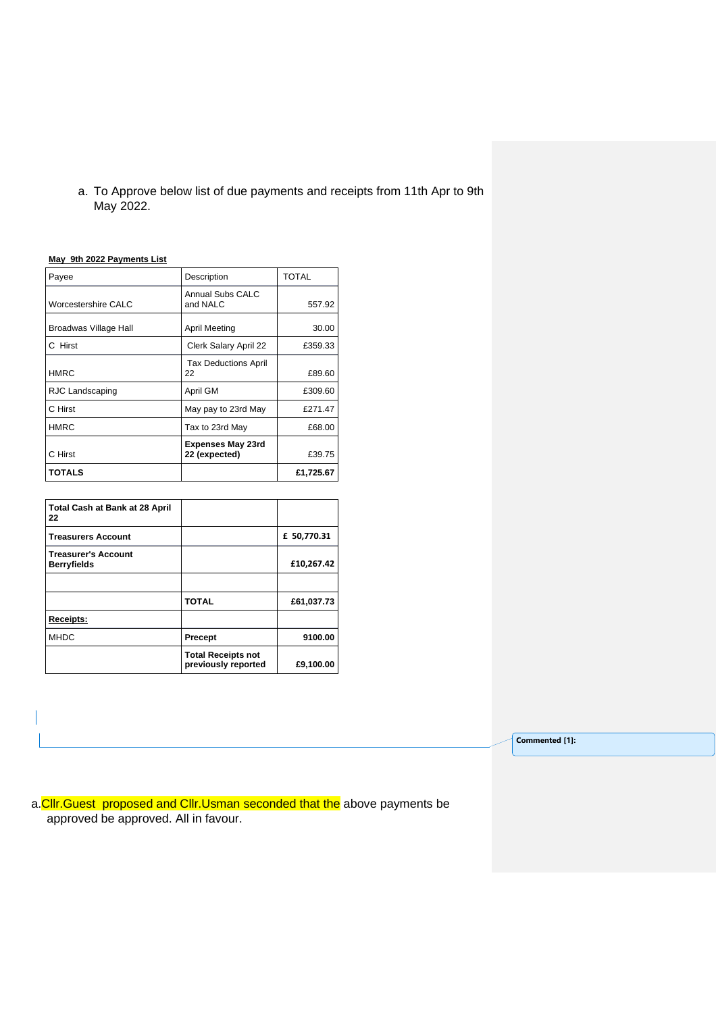a. To Approve below list of due payments and receipts from 11th Apr to 9th May 2022.

#### **May 9th 2022 Payments List**

| Payee                 | Description                               | <b>TOTAL</b> |
|-----------------------|-------------------------------------------|--------------|
| Worcestershire CALC   | Annual Subs CALC<br>and NALC              | 557.92       |
| Broadwas Village Hall | <b>April Meeting</b>                      | 30.00        |
| C Hirst               | Clerk Salary April 22                     | £359.33      |
| HMRC                  | <b>Tax Deductions April</b><br>22         | £89.60       |
| RJC Landscaping       | April GM                                  | £309.60      |
| C Hirst               | May pay to 23rd May                       | £271.47      |
| <b>HMRC</b>           | Tax to 23rd May                           | £68.00       |
| C Hirst               | <b>Expenses May 23rd</b><br>22 (expected) | £39.75       |
| TOTALS                |                                           | £1,725.67    |

| <b>Total Cash at Bank at 28 April</b><br>22      |                                                  |             |
|--------------------------------------------------|--------------------------------------------------|-------------|
| <b>Treasurers Account</b>                        |                                                  | £ 50,770.31 |
| <b>Treasurer's Account</b><br><b>Berryfields</b> |                                                  | £10,267.42  |
|                                                  |                                                  |             |
|                                                  | <b>TOTAL</b>                                     | £61,037.73  |
| Receipts:                                        |                                                  |             |
| <b>MHDC</b>                                      | <b>Precept</b>                                   | 9100.00     |
|                                                  | <b>Total Receipts not</b><br>previously reported | £9,100.00   |

**Commented [1]:**

a. Cllr. Guest proposed and Cllr. Usman seconded that the above payments be approved be approved. All in favour.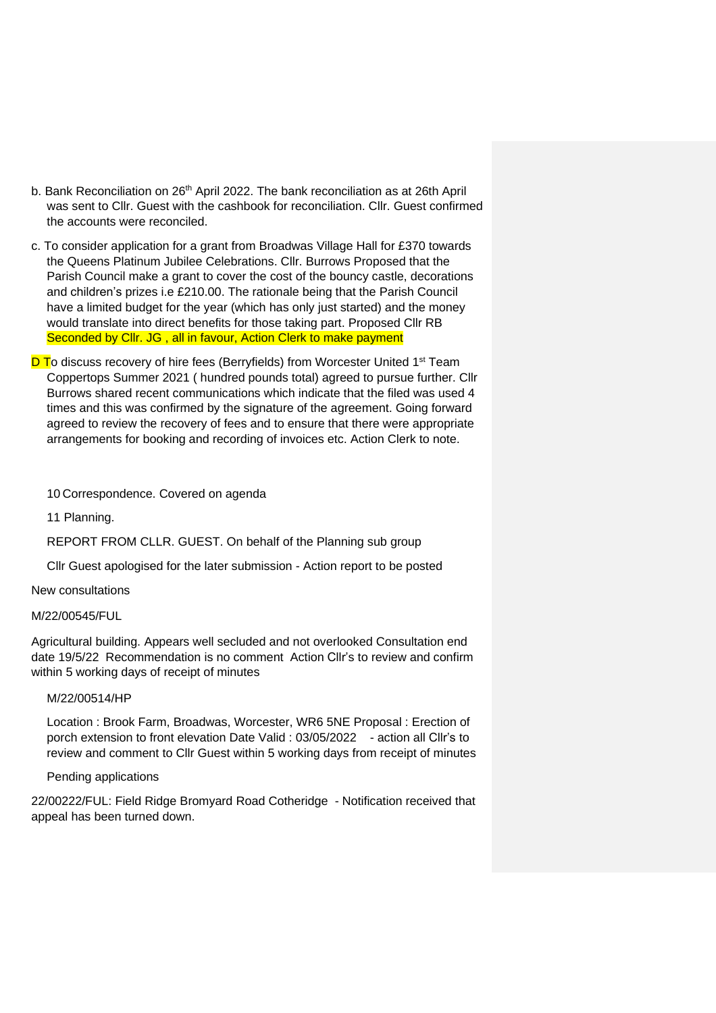- b. Bank Reconciliation on 26<sup>th</sup> April 2022. The bank reconciliation as at 26th April was sent to Cllr. Guest with the cashbook for reconciliation. Cllr. Guest confirmed the accounts were reconciled.
- c. To consider application for a grant from Broadwas Village Hall for £370 towards the Queens Platinum Jubilee Celebrations. Cllr. Burrows Proposed that the Parish Council make a grant to cover the cost of the bouncy castle, decorations and children's prizes i.e £210.00. The rationale being that the Parish Council have a limited budget for the year (which has only just started) and the money would translate into direct benefits for those taking part. Proposed Cllr RB Seconded by Cllr. JG, all in favour, Action Clerk to make payment
- <mark>D T</mark>o discuss recovery of hire fees (Berryfields) from Worcester United 1st Team Coppertops Summer 2021 ( hundred pounds total) agreed to pursue further. Cllr Burrows shared recent communications which indicate that the filed was used 4 times and this was confirmed by the signature of the agreement. Going forward agreed to review the recovery of fees and to ensure that there were appropriate arrangements for booking and recording of invoices etc. Action Clerk to note.

10 Correspondence. Covered on agenda

11 Planning.

REPORT FROM CLLR. GUEST. On behalf of the Planning sub group

Cllr Guest apologised for the later submission - Action report to be posted

New consultations

## M/22/00545/FUL

Agricultural building. Appears well secluded and not overlooked Consultation end date 19/5/22 Recommendation is no comment Action Cllr's to review and confirm within 5 working days of receipt of minutes

# M/22/00514/HP

Location : Brook Farm, Broadwas, Worcester, WR6 5NE Proposal : Erection of porch extension to front elevation Date Valid : 03/05/2022 - action all Cllr's to review and comment to Cllr Guest within 5 working days from receipt of minutes

### Pending applications

22/00222/FUL: Field Ridge Bromyard Road Cotheridge - Notification received that appeal has been turned down.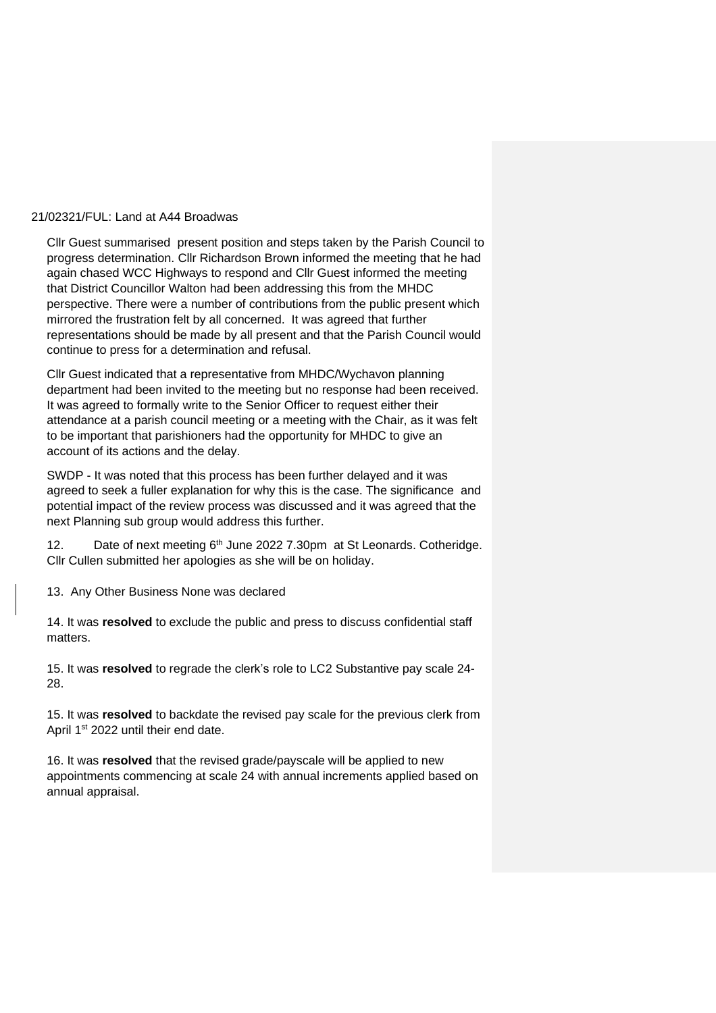## 21/02321/FUL: Land at A44 Broadwas

Cllr Guest summarised present position and steps taken by the Parish Council to progress determination. Cllr Richardson Brown informed the meeting that he had again chased WCC Highways to respond and Cllr Guest informed the meeting that District Councillor Walton had been addressing this from the MHDC perspective. There were a number of contributions from the public present which mirrored the frustration felt by all concerned. It was agreed that further representations should be made by all present and that the Parish Council would continue to press for a determination and refusal.

Cllr Guest indicated that a representative from MHDC/Wychavon planning department had been invited to the meeting but no response had been received. It was agreed to formally write to the Senior Officer to request either their attendance at a parish council meeting or a meeting with the Chair, as it was felt to be important that parishioners had the opportunity for MHDC to give an account of its actions and the delay.

SWDP - It was noted that this process has been further delayed and it was agreed to seek a fuller explanation for why this is the case. The significance and potential impact of the review process was discussed and it was agreed that the next Planning sub group would address this further.

12. Date of next meeting 6<sup>th</sup> June 2022 7.30pm at St Leonards. Cotheridge. Cllr Cullen submitted her apologies as she will be on holiday.

13. Any Other Business None was declared

14. It was **resolved** to exclude the public and press to discuss confidential staff matters.

15. It was **resolved** to regrade the clerk's role to LC2 Substantive pay scale 24- 28.

15. It was **resolved** to backdate the revised pay scale for the previous clerk from April 1<sup>st</sup> 2022 until their end date.

16. It was **resolved** that the revised grade/payscale will be applied to new appointments commencing at scale 24 with annual increments applied based on annual appraisal.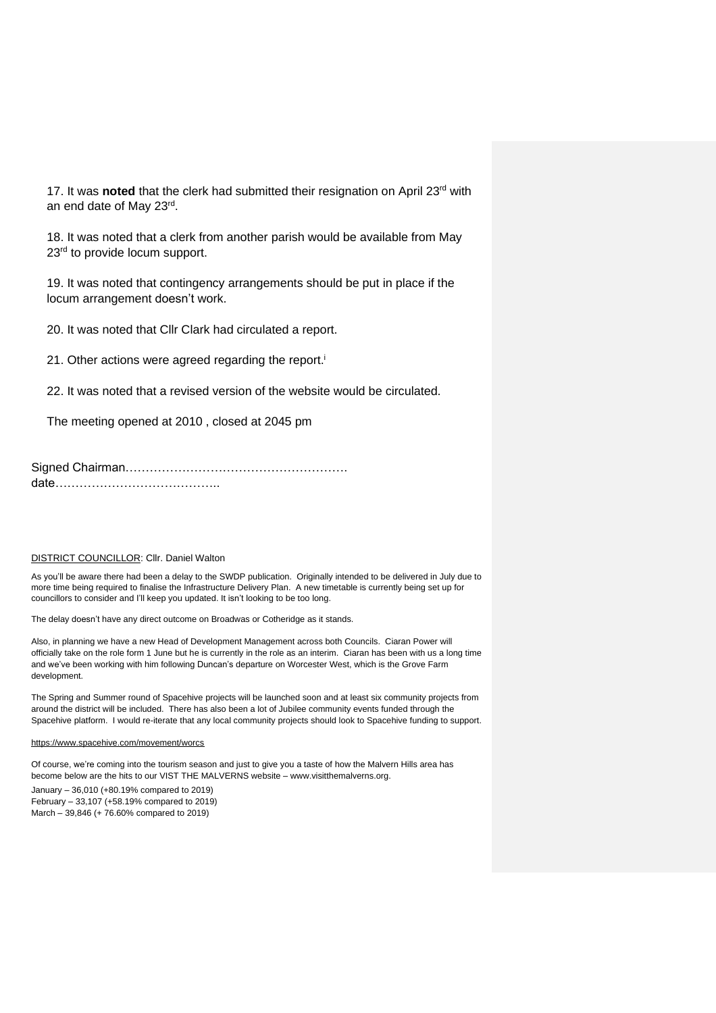17. It was noted that the clerk had submitted their resignation on April 23<sup>rd</sup> with an end date of May 23rd .

18. It was noted that a clerk from another parish would be available from May 23<sup>rd</sup> to provide locum support.

19. It was noted that contingency arrangements should be put in place if the locum arrangement doesn't work.

20. It was noted that Cllr Clark had circulated a report.

21. Other actions were agreed regarding the report.<sup>i</sup>

22. It was noted that a revised version of the website would be circulated.

The meeting opened at 2010 , closed at 2045 pm

Signed Chairman………………………………………………. date…………………………………..

#### **DISTRICT COUNCILLOR: Cllr. Daniel Walton**

As you'll be aware there had been a delay to the SWDP publication. Originally intended to be delivered in July due to more time being required to finalise the Infrastructure Delivery Plan. A new timetable is currently being set up for councillors to consider and I'll keep you updated. It isn't looking to be too long.

The delay doesn't have any direct outcome on Broadwas or Cotheridge as it stands.

Also, in planning we have a new Head of Development Management across both Councils. Ciaran Power will officially take on the role form 1 June but he is currently in the role as an interim. Ciaran has been with us a long time and we've been working with him following Duncan's departure on Worcester West, which is the Grove Farm development.

The Spring and Summer round of Spacehive projects will be launched soon and at least six community projects from around the district will be included. There has also been a lot of Jubilee community events funded through the Spacehive platform. I would re-iterate that any local community projects should look to Spacehive funding to support.

#### <https://www.spacehive.com/movement/worcs>

Of course, we're coming into the tourism season and just to give you a taste of how the Malvern Hills area has become below are the hits to our VIST THE MALVERNS website – www.visitthemalverns.org. January – 36,010 (+80.19% compared to 2019) February – 33,107 (+58.19% compared to 2019) March – 39,846 (+ 76.60% compared to 2019)